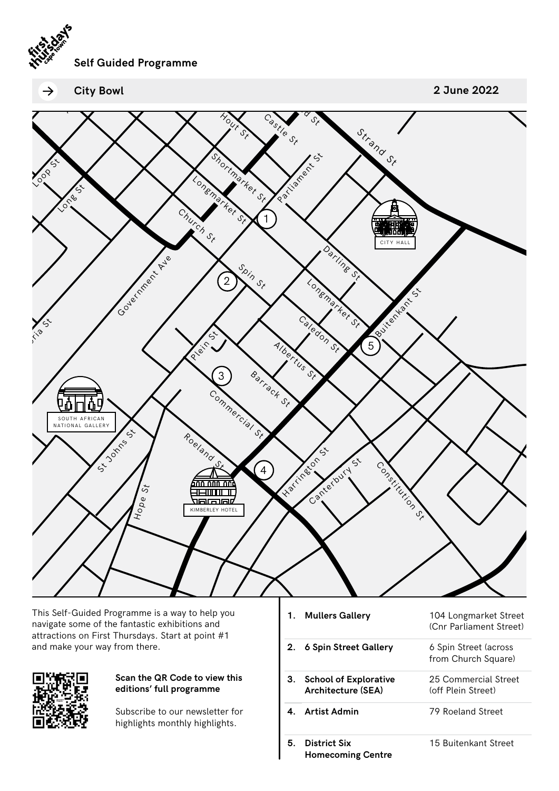

 $\rightarrow$ **City Bowl** **2 June 2022**



This Self-Guided Programme is a way to help you navigate some of the fantastic exhibitions and attractions on First Thursdays. Start at point #1 and make your way from there.



## **Scan the QR Code to view this editions' full programme**

Subscribe to our newsletter for highlights monthly highlights.

**1. Mullers Gallery** 104 Longmarket Street (Cnr Parliament Street) **2. 6 Spin Street Gallery** 6 Spin Street (across from Church Square) **3. School of Explorative Architecture (SEA)** 25 Commercial Street (off Plein Street) **4. Artist Admin** 79 Roeland Street

15 Buitenkant Street

**5. District Six Homecoming Centre**